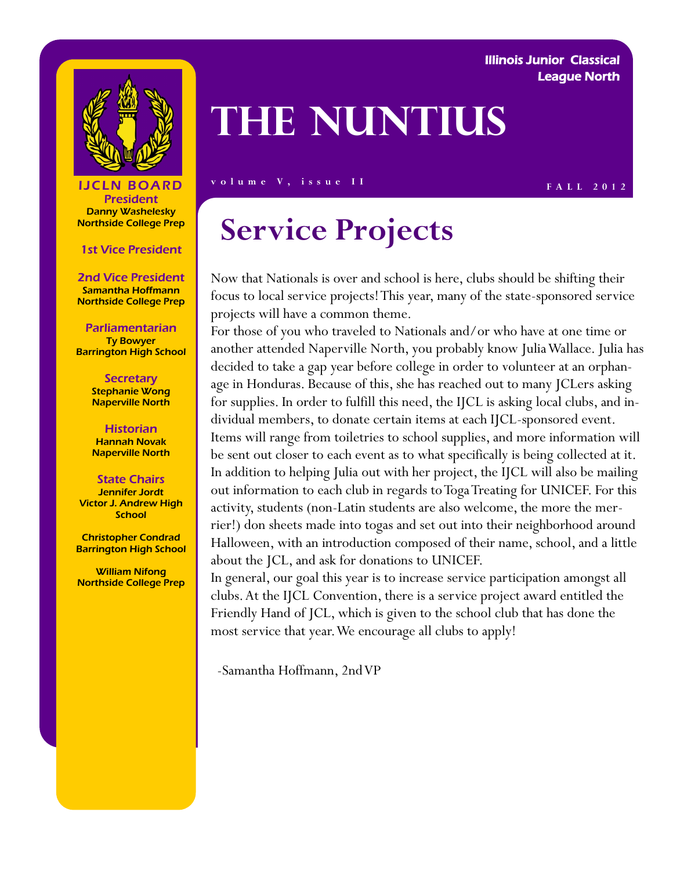### Illinois Junior Classical League North



# **The Nuntius**

### **F ALL 2012 F ALL 2012**

President Danny Washelesky Northside College Prep

### 1st Vice President

2nd Vice President Samantha Hoffmann Northside College Prep

#### Parliamentarian Ty Bowyer Barrington High School

**Secretary** Stephanie Wong Naperville North

**Historian** Hannah Novak Naperville North

#### State Chairs Jennifer Jordt Victor J. Andrew High **School**

Christopher Condrad Barrington High School

William Nifong Northside College Prep

## **Service Projects**

Now that Nationals is over and school is here, clubs should be shifting their focus to local service projects! This year, many of the state-sponsored service projects will have a common theme.

For those of you who traveled to Nationals and/or who have at one time or another attended Naperville North, you probably know Julia Wallace. Julia has decided to take a gap year before college in order to volunteer at an orphanage in Honduras. Because of this, she has reached out to many JCLers asking for supplies. In order to fulfill this need, the IJCL is asking local clubs, and individual members, to donate certain items at each IJCL-sponsored event. Items will range from toiletries to school supplies, and more information will be sent out closer to each event as to what specifically is being collected at it. In addition to helping Julia out with her project, the IJCL will also be mailing out information to each club in regards to Toga Treating for UNICEF. For this activity, students (non-Latin students are also welcome, the more the merrier!) don sheets made into togas and set out into their neighborhood around Halloween, with an introduction composed of their name, school, and a little about the JCL, and ask for donations to UNICEF.

In general, our goal this year is to increase service participation amongst all clubs. At the IJCL Convention, there is a service project award entitled the Friendly Hand of JCL, which is given to the school club that has done the most service that year. We encourage all clubs to apply!

-Samantha Hoffmann, 2nd VP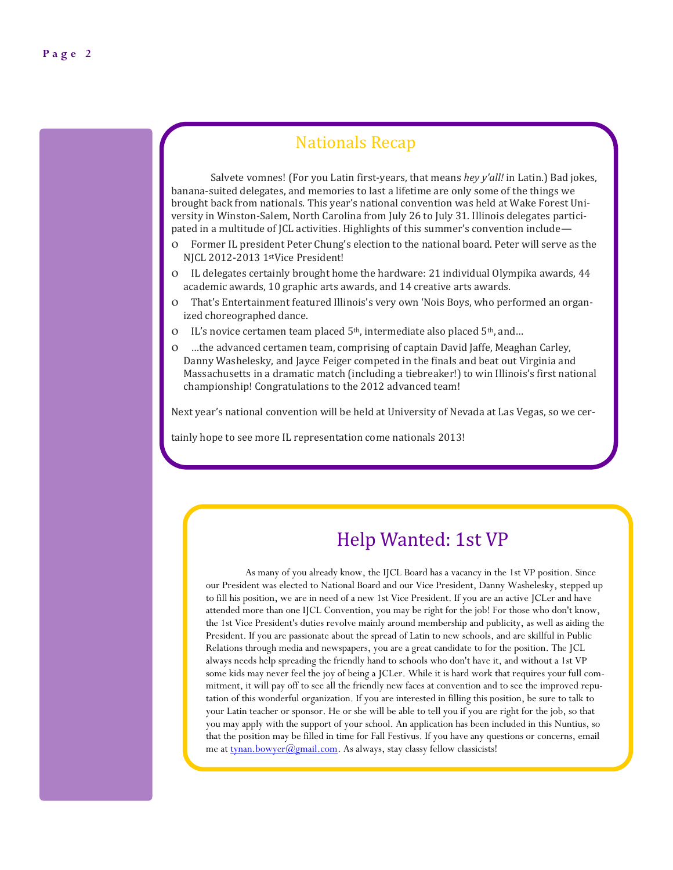### Nationals Recap

Salvete vomnes! (For you Latin first-years, that means *hey y'all!* in Latin.) Bad jokes, banana-suited delegates, and memories to last a lifetime are only some of the things we brought back from nationals. This year's national convention was held at Wake Forest University in Winston-Salem, North Carolina from July 26 to July 31. Illinois delegates participated in a multitude of JCL activities. Highlights of this summer's convention include—

- Former IL president Peter Chung's election to the national board. Peter will serve as the NJCL 2012-2013 1stVice President!
- IL delegates certainly brought home the hardware: 21 individual Olympika awards, 44 academic awards, 10 graphic arts awards, and 14 creative arts awards.
- That's Entertainment featured Illinois's very own 'Nois Boys, who performed an organized choreographed dance.
- IL's novice certamen team placed 5<sup>th</sup>, intermediate also placed 5<sup>th</sup>, and...
- …the advanced certamen team, comprising of captain David Jaffe, Meaghan Carley, Danny Washelesky, and Jayce Feiger competed in the finals and beat out Virginia and Massachusetts in a dramatic match (including a tiebreaker!) to win Illinois's first national championship! Congratulations to the 2012 advanced team!

Next year's national convention will be held at University of Nevada at Las Vegas, so we cer-

tainly hope to see more IL representation come nationals 2013!

### Help Wanted: 1st VP

As many of you already know, the IJCL Board has a vacancy in the 1st VP position. Since our President was elected to National Board and our Vice President, Danny Washelesky, stepped up to fill his position, we are in need of a new 1st Vice President. If you are an active JCLer and have attended more than one IJCL Convention, you may be right for the job! For those who don't know, the 1st Vice President's duties revolve mainly around membership and publicity, as well as aiding the President. If you are passionate about the spread of Latin to new schools, and are skillful in Public Relations through media and newspapers, you are a great candidate to for the position. The JCL always needs help spreading the friendly hand to schools who don't have it, and without a 1st VP some kids may never feel the joy of being a JCLer. While it is hard work that requires your full commitment, it will pay off to see all the friendly new faces at convention and to see the improved reputation of this wonderful organization. If you are interested in filling this position, be sure to talk to your Latin teacher or sponsor. He or she will be able to tell you if you are right for the job, so that you may apply with the support of your school. An application has been included in this Nuntius, so that the position may be filled in time for Fall Festivus. If you have any questions or concerns, email me at [tynan.bowyer@gmail.com.](mailto:tynan.bowyer@gmail.com) As always, stay classy fellow classicists!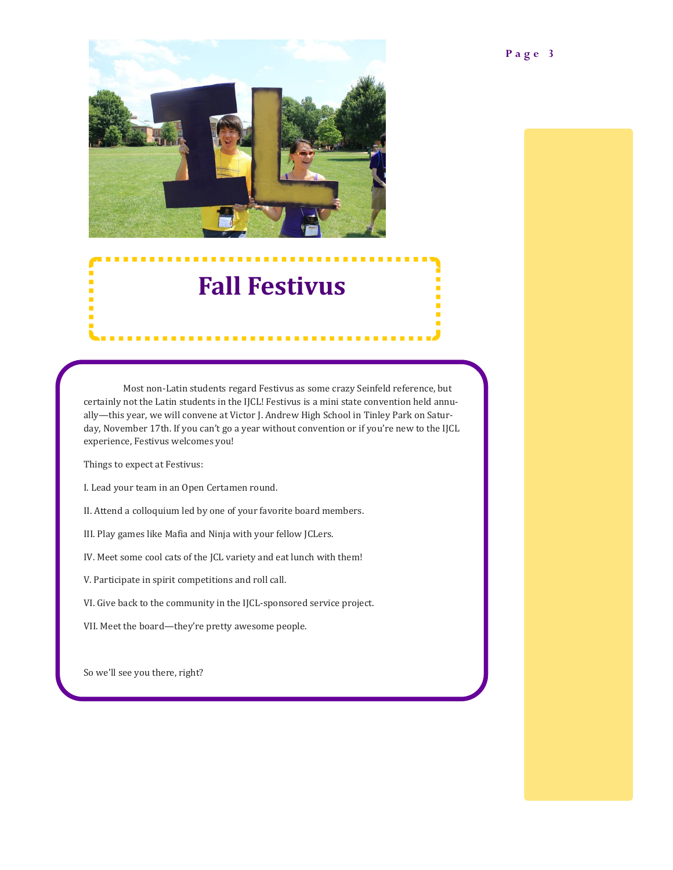

## **Fall Festivus**

Most non-Latin students regard Festivus as some crazy Seinfeld reference, but certainly not the Latin students in the IJCL! Festivus is a mini state convention held annually—this year, we will convene at Victor J. Andrew High School in Tinley Park on Saturday, November 17th. If you can't go a year without convention or if you're new to the IJCL experience, Festivus welcomes you!

Things to expect at Festivus:

I. Lead your team in an Open Certamen round.

II. Attend a colloquium led by one of your favorite board members.

III. Play games like Mafia and Ninja with your fellow JCLers.

IV. Meet some cool cats of the JCL variety and eat lunch with them!

V. Participate in spirit competitions and roll call.

VI. Give back to the community in the IJCL-sponsored service project.

VII. Meet the board—they're pretty awesome people.

So we'll see you there, right?